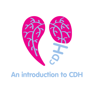

# An introduction to CDH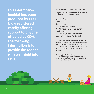This information booklet has been produced by CDH UK, a registered charity offering support to anyone affected by CDH. The following information is to provide the reader with an insight into CDH.

We would like to thank the following people for their time, input and help in making this booklet possible.

Beverley Power Brenda Lane Donna Fahey The CDH UK Committee Dr P Chetcuti FRCPCH - Consultant Paediatrician The Chase Creative Consultants Aspen Marketing & Design Ltd

Disclaimer: Whilst every effort has been made to ensure the accuracy of the information contained within this booklet, it is not intended to replace or substitute the views or information provided by the person responsible for the medical care of any individual.

Printed: April 2022 Version 6.

No part of this publication may be reproduced, or transmitted, in any form or by any means without the prior permission of CDH UK.

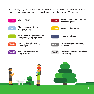To make navigating this brochure easier we have divided the content into the following areas, using separate colour page sections for each stage of your baby's early CDH journey.

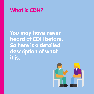

You may have never heard of CDH before. So here is a detailed description of what it is.

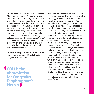CDH is the abbreviated name for Congenital Diaphragmatic Hernia. 'Congenital' simply means born with , 'Diaphragmatic' means of or affecting the diaphragm. The Diaphram is a thin sheet of muscle that helps us to breath and keeps our chest and stomach contents separate. It also has other functions such as helping to expel body waste such as poo and assisting in childbirth. It also prevents contents from our stomach escaping by putting pressure on the eosophagus. 'Hernia' is a general term used to describe a 'bulge' or 'protrusion' of an organ, (for example the stomach), through the structure or muscle that usually contains it.

CDH occurs in approximately 1 in 2500 births and accounts for around 8% of all major congenital abnormalities.

**CDH** is the abbreviation for Congenital **Diaphragmatic Hernia** 

There is no firm evidence that it occurs more in one particular sex. However, some studies have suggested that males are affected more than females with a ratio of 3:2. Familial clusters (running in families) have been observed in less than 2% of cases and the risk in future pregnancies is said to be 2%. There is currently no known cause or risk factor, but studies have suggested that it is probably multifactorial, meaning there may be a number of factors involved including environmental and genetic. The diaphragm normally develops in your unborn baby by around the 7-10 week gestation period of your baby's development and CDH occurs when the diaphragm fails to form correctly or fails to develop in your unborn baby. This allows the abdominal contents to rise up into the chest cavity, which prevents the lungs from developing properly. Depending at what stage in pregnancy the abdominal contents (also referred to as 'Viscera') herniated, how much, and the size of the hole in the Diaphragm, this will normally determine how much your unborn baby's lungs and other internal organs, such as the heart, have been affected.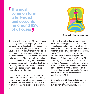The most common form is left-sided and accounts for around 85% of all cases 9



**A correctly formed abdomen**

There are different types of CDH and they can occur anywhere in the diaphragm. The most common type is Bochdalek which accounts for around 85% of diaphragmatic hernias and is usually on the left side. Morgagni hernias are less common and are found behind the sternum (breastbone) with most being slightly to the right side. Diaphragmatic eventration occurs when the diaphragm is still intact but is weak and abnormally high in the chest. Some Diaphragmatic Hernias are contained in a membrane called a hernia sac and are referred to as sac hernias.

In a left-sided hernia, varying amounts of abdominal contents can herniate, including small and large bowel, stomach, spleen and sometimes the liver. In right-sided hernias, it is usually only the large bowel and or liver

that herniates. Bilateral hernias are uncommon and as the term suggests; affects both sides. In most cases and particularly in left-sided hernias, the condition is isolated, which means that there are no other associated anomalies. Rarely, CDH is part of a chromosomal syndrome such as Edward's Syndrome (Trisomy 18), Patau's syndrome (Trisomy 13), Down's Syndrome (Trisomy 21) and Turner Syndrome (Monosomy X). A Karyotype test is usually offered and sometimes other genetic tests to confirm that the hernia is isolated. Other syndromes such as Cornelia De Lange and Fryn's syndrome have also been associated with CDH.

Other features of CDH can include variable degrees of Lung Hypoplasia (incomplete development of the lungs), Pulmonary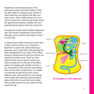Hypertension (increased pressure in the pulmonary arteries) and heart defects. These are often difficult to diagnose and confirm to what extent they are present until after your baby is born. Other malformations can occur and are mainly the cardiovascular (heart, lungs etc) genitourinary (kidneys, bladder etc) and gastrointestinal systems (stomach, bowel etc).

Currently the survival rate for babies diagnosed with CDH remains statistically at around 50% although some countries have higher or lower survival rates.

A measurement called LHR (lung to head ratio) is often used by Doctors as an indicator to help them to assess the outlook following a diagnosis and to assist them with planning the best management for your baby. This is taken during an ultrasound scan and your Doctor can explain this further to you. There are other indicators that may be used to assess your baby's outlook such as the size of the defect, when it was diagnosed, whether any liver is 'up', the position of the stomach and whether there are any other complications. It is helpful to remember though that as each case is different, each case warrants its own outlook; some babies with extremely good prospects before birth fail to do well and some babies with very little lung and a poor outlook will do extremely well.

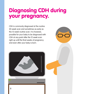## Diagnosing CDH during your pregnancy.

CDH is commonly diagnosed at the routine 20 week scan and sometimes as early as the 12 week routine scan. It is however, possible for your baby to be diagnosed with CDH at any point after the 12 week scan right up until the final weeks of pregnancy and even after your baby is born.

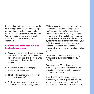It is picked up by the person carrying out the scan (sonographer) when it appears organs are not where they should normally be, or there is something unusual about the scan. You will then be invited to attend another scan session to have the diagnosis confirmed.

#### Below are some of the signs that may be picked up on a scan:

- **Abdominal contents (such as the stomach)** are noticed in the chest cavity where the lungs are positioned, or if the lung/lungs appear abnormal in size, shape or position.
- When there is difficulty picking up an image of your baby's heart.
- **If the heart is pushed over to the left or** right (mediastinal shift).
- Polyhydramnios, which is an increase of amniotic fluid surrounding your baby.

CDH can sometimes be associated with a chromosomal disorder (although this is rare), such as Edwards Syndrome, Fryn's syndrome and Cornelia-de-Lange syndrome to name a few. This would be confirmed by carrying out a Karyotype test, which is done by testing the amniotic fluid surrounding your baby. The procedure to obtain a sample of amniotic fluid for this test is called an amniocentesis. You may also be offered other genetic tests.

Occasionally CDH is not picked up during routine scans and is diagnosed shortly after birth.

Extremely rarely CDH is diagnosed later in life during routine medical check ups or procedures, or following further herniation of abdominal contents.

The risk of CDH in future pregnancies is extremely low and is given as a 2% risk. You can ask to be referred to a Genetic counsellor to discuss this small increased risk.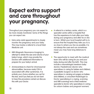### Expect extra support and care throughout your pregnancy.

Throughout your pregnancy you can expect to be more closely monitored. Some of the things you can expect are:

- Extra ante-natal appointments to closely monitor the pregnancy and your baby. This may involve a referral to a local Fetal Medicine unit.
- MRI (Magnetic Resonance Imaging) to attempt to obtain the size and volume of your baby's lungs, which may provide the Doctors with additional information to prepare for your baby's arrival.
- Amniocentesis to check for chromosomal abnormalities, because rarely CDH is associated with other syndromes. It is entirely your choice whether you opt for this test, and if you feel you do not want to have this procedure carried out discuss this with your Doctor.
- A referral to a tertiary centre, which is a specialist centre within a hospital that has the experience to look after your baby during your pregnancy and after he or she is born. Whilst your local hospital will try to ensure that the hospital they refer you to is as close to where you live as possible, it is not always the case and can sometimes mean you may have long distances to travel.
- The opportunity to meet with the medical team who will be caring for you and your baby during and after the birth. This may include a neonatologist (newborn baby doctor), Paediatrician (doctor who specialises in caring for babies and children), a paediatric Surgeon (a doctor who specialises in carrying out surgery on babies and children), a consultant Radiologist (a Doctor specialising in x-raying, scanning and MRI scanning) and a Fetal medicine specialist (a doctor who specialises in caring for unborn babies and pregnant women).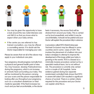

- You may be given the opportunity to have a look around the neo-natal intensive care unit (NICU) so that you know what to expect when your baby arrives.
- If the centre you are referred to has trained counsellors, you may be offered a counselling service. If in doubt ask the Doctor responsible for managing your care.

Please be aware that not all of the above may apply to your individual care plan.

Your pregnancy should progress normally from a physical and general health point of view. You may however, develop Polyhydramnios during the pregnancy, which is an increase in amniotic fluid surrounding your baby. This will be monitored by the person carrying out your scans and the person responsible for looking after you throughout your pregnancy, such as a consultant obstetrician or Fetal medicine specialist. If the fluid increases too much and you feel uncomfortable, or the doctor feels it necessary, the excess fluid will be drained from around your baby. This is carried out by local anaesthetic and whilst it may be uncomfortable, it should not be painful and your Doctor will explain the procedure fully in advance.

A procedure called FETO (Fetal Endoscopic Trachael Occlusion) may be offered in some countries and in some cases of CDH. This involves the placement of a balloon into your baby's windpipe to attempt to improve the development of the lungs whilst your baby is growing in the womb. FETO is classed as a minimally invasive procedure carried out by a specialist medical team, but is not without risk. The procedure is currently only carried out in a couple of UK hospitals. Some evidence gained during two separate randomised controlled trials shows that FETO in severe left sided CDH resulted in significant chance of survival. There is a certain criteria required for this procedure and your Doctor can explain what this is.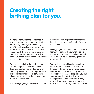## Creating the right birthing plan for you.

It is normal for the birth to be planned in advance, so you may be given a set date for the birth of your baby, this can be anything from 37 week gestation onwards and your doctor should discuss this with you before you approach the end of your pregnancy. This usually involves inducing the birth to ensure your baby arrives on the date planned and at the Tertiary Centre.

This ensures that all of the medical team involved are present at the birth and that there is an available cot in NICU for when your baby arrives. Do not be surprised if the planned date is changed, as sometimes other emergencies in the department arise or cots are unavailable.

If everything is going well with you and your

baby the Doctor will probably arrange the induction for as near to 40 weeks (full term) as possible.

During pregnancy, a member of the medical team will discuss with you what is going to happen when your baby is born and will encourage you to ask as many questions as you need.

You can be expected to deliver your baby normally and be offered pain relief choices, however, if things are not progressing or if your baby is distressed you may require a caesarean section (C-section). Both you and your baby will be monitored extremely closely during your labour and because of this you may find that you are unable to move around and are restricted as to your birthing options.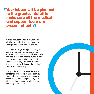#### Your labour will be planned to the greatest detail to make sure all the medical and support team are present at birth 9

You can discuss this with your Doctor or Midwife, who will tell you exactly what you can expect and what your choices are.

Occasionally, things don't go according to plan and your baby arrives sooner than expected. In this situation you will normally be admitted to your local hospital, who will then arrange for the appropriate plan of action. They should usually have been informed of your case by the tertiary centre, so they'll know exactly what to expect.

After your baby is born, he or she will be transported by a specialist neo-natal team by ambulance to a tertiary centre with an available cot. Depending on how you are after the birth you should be able to go with your baby to the hospital.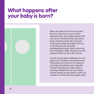### What happens after your baby is born?

When your baby is born you may notice that he or she may not cry, do not be alarmed by this, even babies without CDH may not cry. Sometimes they may have a bluish colouring to their skin (Cyanosis). Some Doctors prefer for babies not to cry, so that they are not using their underdeveloped lungs, which reduces the risk of damage to them. Likewise do not be surprised if they cry, this is also normal.

As soon as your baby is delivered, you can expect a lot of activity in the delivery room. The priority is for the Doctors to attend to your baby immediately and usually this involves intubating your baby, which is inserting a flexible tube into your baby's trachea (airway) via your baby's mouth, the insertion of an NG tube (naso-gastric tube)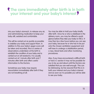### **The care immediately after birth is in both** your interest and your baby's interest

into your baby's stomach, to release any air, and administering medication to keep your baby still, sedated and comfortable.

This will be carried out as quickly as possible to stabilise your baby and support them. In addition to this your baby's apgar score will be taken and recorded, this is a series of observations undertaken at the birth to establish the condition of your baby and is carried out on all newborns. It is usually carried out at 1 minute after birth and 7 minutes after birth and offers useful information to the Doctors.

Sometimes your baby may require resuscitation immediately after birth if they are not breathing at all.

You may be able to hold your baby briefly after birth. Once he or she is stabilised in the delivery room, you may be offered a quick glance before they take your baby to NICU. It may then be a few hours before you can see your baby, because he or she has to be put onto the chosen ventilation equipment and will have to undergo a stabilisation period, x-rays, blood tests and other monitoring procedures.

Also, if you have encountered a difficult birth or had a C-section it may not be possible for you to be up and about until the Doctors are satisfied that you are well enough. This can be distressing, but be assured that this is in both your interest and your baby's interest and as soon as it is possible you will be able to see your baby.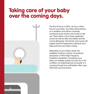### Taking care of your baby over the coming days.



The first 24 hours in NICU can be a critical time for your baby. Your baby will be placed on a ventilator and will be constantly monitored by the doctors and nurses on the unit. There will be a lot of noisy equipment around as well as other sick babies and this can be distressing. The Doctors and nurses will explain what the equipment is doing for your baby and how your baby is doing.

Depending on your baby's needs, the ventilation method could be conventional (standard) or HFOV (High Frequency Oscillatory Ventilation). Sometimes your baby can stabilise quickly, but also his or her condition can deteriorate just as quickly. It is suprising though how well babies often cope with these ups and downs.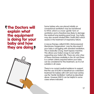#### The Doctors will explain what the equipment is doing for your baby and how they are doing?

Some babies who are placed initially on conventional ventilation may be transferred to HFOV, which is a more 'gentle' form of ventilation and is therefore less likely to damage the residual lung (existing good lung). Your baby may also receive inhaled Nitric Oxide (INO) which assists in the treatment of respiratory failure.

A rescue therapy called ECMO, (Extracorporeal Membrane Oxygenation) may be discussed if your baby is struggling with standard ventilation. This is basically a lung, heart bypass machine. This allows your baby's lungs to rest whilst supporting your baby's life. There are only a few of these machines available in the UK and there is a certain criteria required before your baby can be considered for this treatment, as it is not suitable in all cases.

There is no current medical evidence to support that the use of ECMO is beneficial as a standard treatment for babies with CDH and most centres use the 'Gentle Ventilation' method as described above. However EMCO can be helpful in some cases where indicated.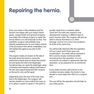# Repairing the hernia.

Once your baby is fully stabilised and the Doctors are happy with your baby's blood gases, oxygen levels and general progress, your baby will undergo surgery to repair the hernia (there is no set timescale for this). The paediatric surgeon will probably have already explained prior to your baby's arrival, of the procedure that will be undertaken, but will explain this again to you prior to the surgery.

The surgeon makes an incision on the side of the body where the hernis is, moves the abdominal contents back to where they should be and repairs the hole in the diaphragm. Sometimes they can repair the diaphragm using a technique that requires making small holes in the skin and surgical equipment with cameras on the end to carry out the repair.

Depending upon the size of the hole, they find in the diaphragm, the surgeon will decide whether to suture (stitch) the hole up or to attach a patch to repair it. The patch is

usually made from a material called 'Gore-tex®', but with new research and development ongoing, a different type of patch may be used. The surgeon will also be able to ensure that there is no other damage, and he can correct any problems he finds at the same time.

You will be fully informed after the operation of how it went and if there were any complications. Your baby will be returned to NICU and be closely monitored whilst recovering from the operation. It is not uncommon for babies to deteriorate after the operation, so be prepared for an emotional time.

If your baby recovers well and his or her condition remains stable, the Doctor's may decide to move baby from NICU to a surgical unit.

The scar left by the operation should fade as your baby grows.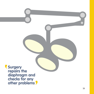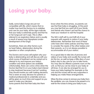# Losing your baby.

Sadly, some baby's lungs are just not compatible with life, which means that no matter how hard the Doctors try to stabilise and care for your baby, all the signs indicate that your baby is extremely poorly and that his or her lungs just can't cope. This is often referred to as respiratory failure and is usually a result of severe lung Hypoplasia (underdevelopment of the lungs).

Sometimes, there are other factors such as heart failure, deterioration during the operation or other complications.

The Doctors and nurses will explain why your baby is deteriorating and will discuss with you what course of treatment can be carried out to attempt to try and improve your baby's condition and what options are available. Unfortunately, there can come a time when the Doctors feel that it is in your baby's best interest to stop treatment because it just isn't working. They should involve you with making decisions. This is never an easy decision for parents or medical professionals to undertake and you will be given as much time and support as you need to make your decision.

Some parents find that their baby lets them

know when the time arrives, as parents can see that their baby is struggling. At this point you may feel that you want all of your family and friends who haven't yet had the chance to meet your newborn to visit the hospital.

The NICU staff will try and fulfil all of your requests with regards to visitors if your baby deteriorates. Remember that most of these units have strict visitor policies and they have to consider the needs of the other babies and their parents, so it is not always possible to accommodate all of your visitors.

It is a good idea to take lots of pictures and videos of your baby and usually the nurses will do this too, as well as keep a little diary of your baby's day to day care for you to take home. You may also be offered a parents room on the unit, so that you can be close to your baby at all times. It can also be arranged for you to have your baby baptised for example on the unit and the nurses will be very supportive in helping you make these arrangements.

When the time comes to remove your baby from the ventilator, you can choose to be present or to wait for the nurses to bring your baby to you.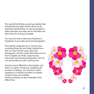This may be the first time you and your partner have actually held your baby and this alone can be extremely overwhelming. You are encouraged to bathe and dress your baby and to hold them and talk to them for as long as possible.

You may also wish to take some footprints or handprints of your baby and some photographs.

The hospital usually give you a 'memory box', containing things like your baby's blanket from their cot, heart monitor pads, diary and photographs and also useful information such as how to register your baby, support group information and funeral arrangements. CDH UK can also provide you with a memory box.

Everyone reacts differently in this situation and there is no right or wrong way of dealing with emotions or feelings. You may find it useful speaking to a hospital counsellor or hospital chaplain if they are available.

Family and friends are also invaluable at this difficult time.

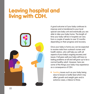## Leaving hospital and living with CDH.



A good outcome is if your baby continues to improve and is transferred to your local special care baby unit and eventually you are able to take your baby home. The length of time your baby will be in hospital can vary from a couple of weeks to over 12 months depending on their progress and recovery.

Once your baby is home you can be expected to receive visits from outreach nurses and health visitors, who will help you with all aspects of your baby's ongoing recovery and issues. If all goes well your baby will have no lasting problems at all and will grow up to be a normal healthy adult. However, here are some of the things your baby may experience as a consequence of CDH:

**•** Feeding issues such as your baby being slow to breast or bottle feed which may affect growth and weight gain and in extreme cases; a failure to thrive.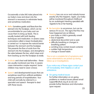Occasionally a tube (NG tube) placed into our baby's nose and down into the stomach is necessary to administer feeds and sometimes medication.

- Reflux Sometime gastric acid flows from the  $\bullet$ stomach into the foodpipe, which can be uncomfortable for your baby and can cause them to bring up feeds. This is usually treated with both feeding techniques and medication. In severe cases a procedure called a nissen fundoplication is carried out to improve the natural barrier between the stomach and the foodpipe. This prevents the flow of acids from the stomach into the foodpipe, and strengthens the valve between the two, which stops acid from backing up into the foodpipe as easily.
- $\bullet$ Scoliosis and chest wall deformities - these are usually monitored over time. In severe cases intervention maybe required. Some children may need to wear a brace.
- Speech and developmental issues that can  $\bullet$ sometimes result from artificial ventilation and long periods of hospitalisation. Your child will normally be referred to a specialist and speech therapist to deal with these issues.
- Hearing loss can occur and nobody knows exactly why this happens. Again, your baby will be monitored throughout childhood by an audiologist (Hearing specialist) with regards to his or her hearing.
- Re-herniation is uncommon, but can be serious if it occurs. The signs that this may have happened are as follows:
	- your baby or child is generally unwell
	- **loss of appetite**
	- **abdominal discomfort and or pain**
	- **difficulty breathing or changes in** breathing pattern
	- vomiting (may contain bowel contents)
	- **sudden high temperature**
	- **change in bowel habits**

This is not a complete list of symptoms and some reherniations are picked up during follow up or investigations.

If you notice any of these signs contact your GP immediately, NHS Helpline or call an ambulance.

**• On-going medical issues** 

 For further information on on-going problems or medical issues please email support@cdhuk.org.uk as we can provide further literature and information upon request. 23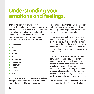## Understanding your emotions and feelings.

There is no right way or wrong way to feel. we are all individuals who cope with situations and emotions in different ways. CDH can also have a huge impact on your family and friends. We have listed below some of the normal emotions that you, your family or even your friends may feel at some point

- Devastation
- Fear
- Sadness
- Anxiety
- Anger ŏ
- Numbness
- Impatience
- **Negativity**  $\bullet$
- **Uselessness**
- **Neglect**
- Guilt

You may have other children who you feel are being neglected because of your time given to your baby and this again is normal.

Having family and friends on hand who can look after them, take them to school and on outings will be helpful and will serve as a distraction until you are with them.

Talking about your baby and how you and your baby are doing with siblings, showing them pictures and videos of your baby and encouraging them to draw a picture or make something for the new arrival can reassure and help them to cope and understand what is happening.

CDH UK can offer you a range of support, from information and advice to simply lending an ear. We can find other parents nearby who have experienced the same situation as you and offer online support. We can help financially through our various schemes (please contact us). We can also put you in touch with other organisations which can help (see useful contacts and websites).

Free professional counselling is also available upon request and subject to application.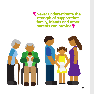**T** Never underestimate the strength of support that family, friends and other parents can provide

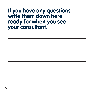### If you have any questions write them down here ready for when you see your consultant.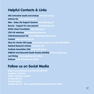#### Helpful Contacts & Links

ARC Antenatal results and choices www.arc-uk.org Asthma UK www.asthma.org.uk Bliss - Baby Life Support Systems www.bliss.org.uk Bounty - Support for new parents www.bounty.com British Heart Foundation www.bhf.org.uk CDH UK webshop www.giveasyoulive.com Child Bereavement UK www.childbereavement.org.uk Contact www.contact.org.uk Ebay for charity CDH page www.charity.ebay.co.uk/CDH-UK/125342 Medical Research Articles www.bmj.com Scoliosis Association (UK) www.sauk.org.uk Stillbirth And Neonatal Death Society (SANDS) www.uk-sands.org Just Giving www.justgiving.com/cdhuk Enthuse www.enthuse.com/cdhuk

#### Follow us on Social Media

https://www.facebook.com/CDH.UK.SUPPORT Instagram: @CDHUK Twitter: @CDHUK\_CHARITY YouTube CDH UK Tick Tok @cdhuk Linkedin CDH UK - The Congenital Diaphragmatic Hernia Charity